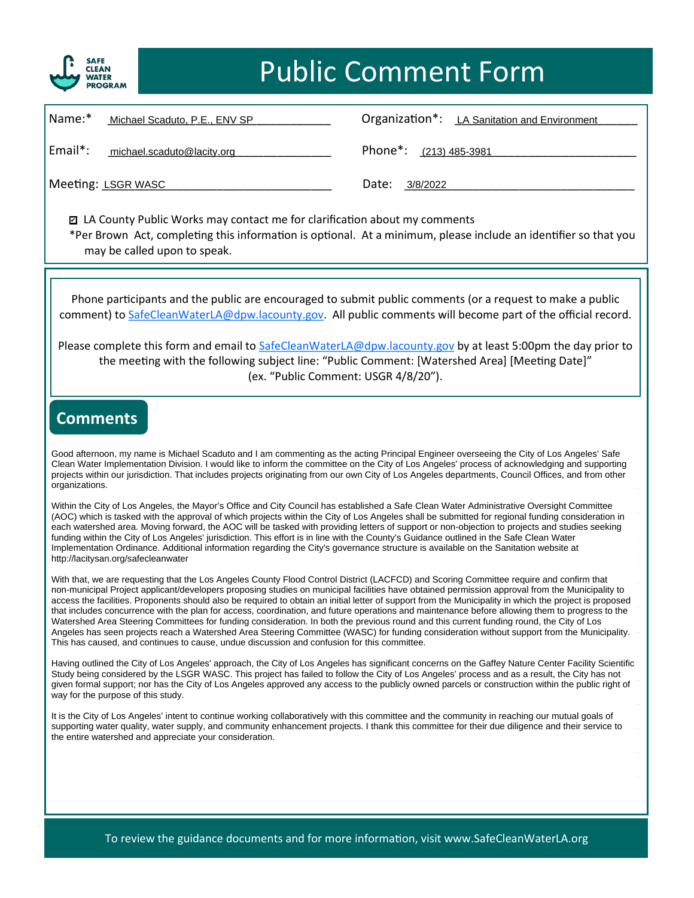

| Name:*<br>Michael Scaduto, P.E., ENV SP | Organization*: LA Sanitation and Environment |
|-----------------------------------------|----------------------------------------------|
| Email*:<br>michael.scaduto@lacity.org   | Phone <sup>*</sup> : (213) 485-3981          |
| Meeting: LSGR WASC                      | Date:<br>3/8/2022                            |

■ LA County Public Works may contact me for clarification about my comments \*Per Brown Act, completing this information is optional. At a minimum, please include an identifier so that you may be called upon to speak.

Phone participants and the public are encouraged to submit public comments (or a request to make a public comment) to [SafeCleanWaterLA@dpw.lacounty.gov.](mailto:SafeCleanWaterLA@dpw.lacounty.gov) All public comments will become part of the official record.

Please complete this form and email to [SafeCleanWaterLA@dpw.lacounty.gov](mailto:SafeCleanWaterLA@dpw.lacounty.gov) by at least 5:00pm the day prior to the meeting with the following subject line: "Public Comment: [Watershed Area] [Meeting Date]" (ex. "Public Comment: USGR 4/8/20").

#### **Comments**

Good afternoon, my name is Michael Scaduto and I am commenting as the acting Principal Engineer overseeing the City of Los Angeles' Safe<br>Clean Water Implementation Division, Lyould like to inform the committee on the City projects with nour jurisdiction. That includes projects originating from our own City of Los Angeles departments, Council Offices, and from other projects within our jurisdiction. That includes projects originating from ou Clean Water Implementation Division. I would like to inform the committee on the City of Los Angeles' process of acknowledging and supporting organizations.

\_\_\_\_\_\_\_\_\_\_\_\_\_\_\_\_\_\_\_\_\_\_\_\_\_\_\_\_\_\_\_\_\_\_\_\_\_\_\_\_\_\_\_\_\_\_\_\_\_\_\_\_ Within the City of Los Angeles, the Mayor's Office and City Council has established a Safe Clean Water Administrative Oversight Committee (AOC) which is tasked with the approval of which projects within the City of Los Angeles shall be submitted for regional funding consideration in each watershed area. Moving forward, the AOC will be tasked with providing l Tunumg within the City of Los Angeles jurisdiction. This enote is in the with the County's Guidance orthined in the Sale Clean Water<br>Implementation Ordinance. Additional information regarding the City's governance structur (AOC) which is tasked with the approval of which projects within the City of Los Angeles shall be submitted for regional funding consideration in funding within the City of Los Angeles' jurisdiction. This effort is in line with the County's Guidance outlined in the Safe Clean Water http://lacitysan.org/safecleanwater

With that, we are requesting that the Los Angeles County Flood Control District (LACFCD) and Scoring Committee require and confirm that With that, we are requesting that the Los Angeles County Flood Control District (LACFC non-municipal Project applicant/developers proposing studies on municipal facilities have obtained permission approval from the Municipality in the Municipality in stream access the facilities. Proponents should also be re that includes concurrence with the plan for access, coordination, and future operations and maintenance before allowing them to progress to the<br>Watershed Area Steering Committees for funding consideration. In both the prev Angeles has seen projects reach a watershed view electing committee (WNCO) for landing consideration without support nom the wantepany. non-municipal Project applicant/developers proposing studies on municipal facilities have obtained permission approval from the Municipality to that includes concurrence with the plan for access, coordination, and future operations and maintenance before allowing them to progress to the Angeles has seen projects reach a Watershed Area Steering Committee (WASC) for funding consideration without support from the Municipality.

Having outlined the City of Los Angeles' approach, the City of Los Angeles has significant concerns on the Gaffey Nature Center Facility Scientific<br>Study being considered by the LSGR WASC. This project has failed to follow given formal support; nor has the City of Los Angeles approved any access to the publicly owned parcels or construction within the public right of way for the purpose of this study. Having outlined the City of Los Angeles' approach, the City of Los Angeles has significant concerns on the Gaffey Nature Center Facility Scientific way for the purpose of this study.

It is the City of Los Angeles' intent to continue working collaboratively with this committee and the community in reaching our mutual goals of<br>supporting water quality, water supply, and community ephancement projects. I the entire watershed and appreciate your consideration. supporting water quality, water supply, and community enhancement projects. I thank this committee for their due diligence and their service to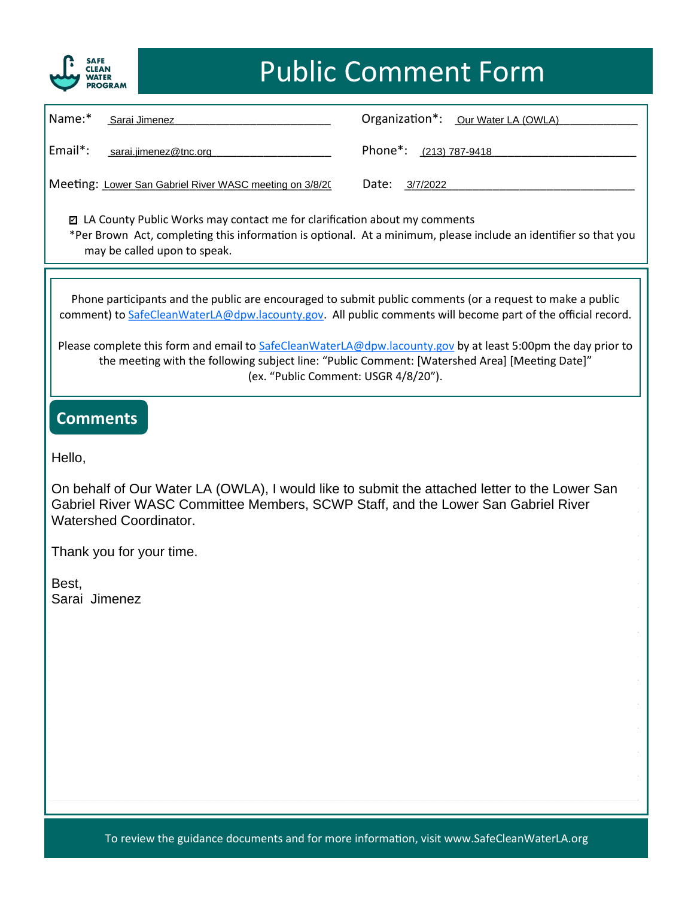

| Name:*                                                                                                                                                                                                                         | Sarai Jimenez                                           | Organization*: Our Water LA (OWLA) |  |
|--------------------------------------------------------------------------------------------------------------------------------------------------------------------------------------------------------------------------------|---------------------------------------------------------|------------------------------------|--|
| $Email^*$ :                                                                                                                                                                                                                    | sarai.jimenez@tnc.org                                   | Phone*: (213) 787-9418             |  |
|                                                                                                                                                                                                                                | Meeting: Lower San Gabriel River WASC meeting on 3/8/20 | Date:<br>3/7/2022                  |  |
| ◘ LA County Public Works may contact me for clarification about my comments<br>*Per Brown Act, completing this information is optional. At a minimum, please include an identifier so that you<br>may be called upon to speak. |                                                         |                                    |  |
|                                                                                                                                                                                                                                |                                                         |                                    |  |

Phone participants and the public are encouraged to submit public comments (or a request to make a public comment) to [SafeCleanWaterLA@dpw.lacounty.gov.](mailto:SafeCleanWaterLA@dpw.lacounty.gov) All public comments will become part of the official record.

Please complete this form and email to [SafeCleanWaterLA@dpw.lacounty.gov](mailto:SafeCleanWaterLA@dpw.lacounty.gov) by at least 5:00pm the day prior to the meeting with the following subject line: "Public Comment: [Watershed Area] [Meeting Date]" (ex. "Public Comment: USGR 4/8/20").

#### **Comments**

 $\mathsf{Hello},$ Hello,

On behalf of Our Water LA (OWLA), I would like to submit the attached letter to the Lower San Off behalf of Our Water EA (OWEA), I would like to subfill the attached letter to the Lower San<br>Gabriel River WASC Committee Members, SCWP Staff, and the Lower San Gabriel River Watershed Coordinator.

Thank you for your time.

 $\mathsf{Roct}$ <u>best;</u><br>Sarai Jimenez Best, Sarai Jimenez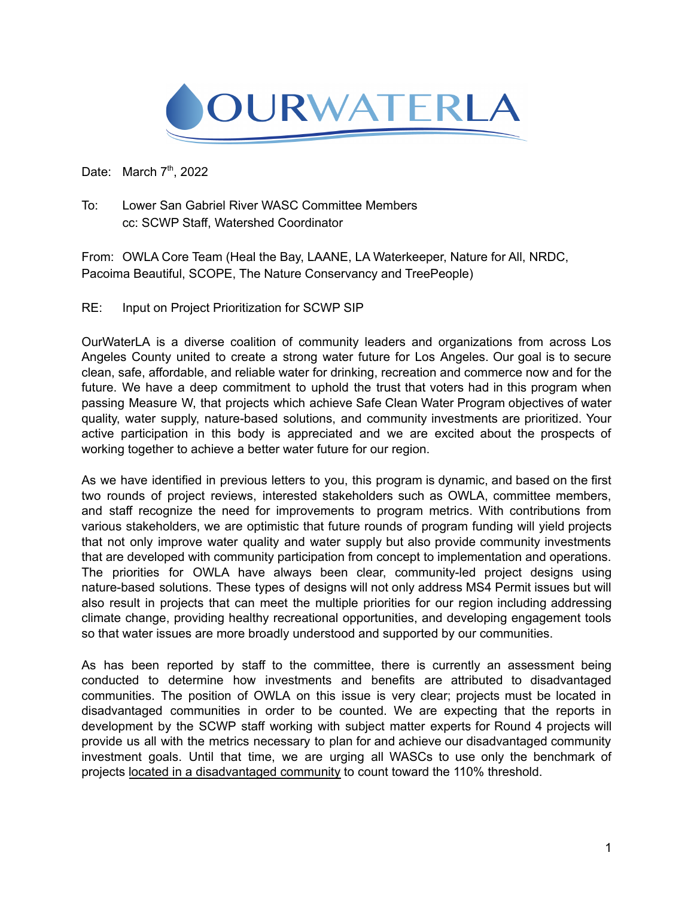

Date: March  $7<sup>th</sup>$ , 2022

To: Lower San Gabriel River WASC Committee Members cc: SCWP Staff, Watershed Coordinator

From: OWLA Core Team (Heal the Bay, LAANE, LA Waterkeeper, Nature for All, NRDC, Pacoima Beautiful, SCOPE, The Nature Conservancy and TreePeople)

RE: Input on Project Prioritization for SCWP SIP

OurWaterLA is a diverse coalition of community leaders and organizations from across Los Angeles County united to create a strong water future for Los Angeles. Our goal is to secure clean, safe, affordable, and reliable water for drinking, recreation and commerce now and for the future. We have a deep commitment to uphold the trust that voters had in this program when passing Measure W, that projects which achieve Safe Clean Water Program objectives of water quality, water supply, nature-based solutions, and community investments are prioritized. Your active participation in this body is appreciated and we are excited about the prospects of working together to achieve a better water future for our region.

As we have identified in previous letters to you, this program is dynamic, and based on the first two rounds of project reviews, interested stakeholders such as OWLA, committee members, and staff recognize the need for improvements to program metrics. With contributions from various stakeholders, we are optimistic that future rounds of program funding will yield projects that not only improve water quality and water supply but also provide community investments that are developed with community participation from concept to implementation and operations. The priorities for OWLA have always been clear, community-led project designs using nature-based solutions. These types of designs will not only address MS4 Permit issues but will also result in projects that can meet the multiple priorities for our region including addressing climate change, providing healthy recreational opportunities, and developing engagement tools so that water issues are more broadly understood and supported by our communities.

As has been reported by staff to the committee, there is currently an assessment being conducted to determine how investments and benefits are attributed to disadvantaged communities. The position of OWLA on this issue is very clear; projects must be located in disadvantaged communities in order to be counted. We are expecting that the reports in development by the SCWP staff working with subject matter experts for Round 4 projects will provide us all with the metrics necessary to plan for and achieve our disadvantaged community investment goals. Until that time, we are urging all WASCs to use only the benchmark of projects located in a disadvantaged community to count toward the 110% threshold.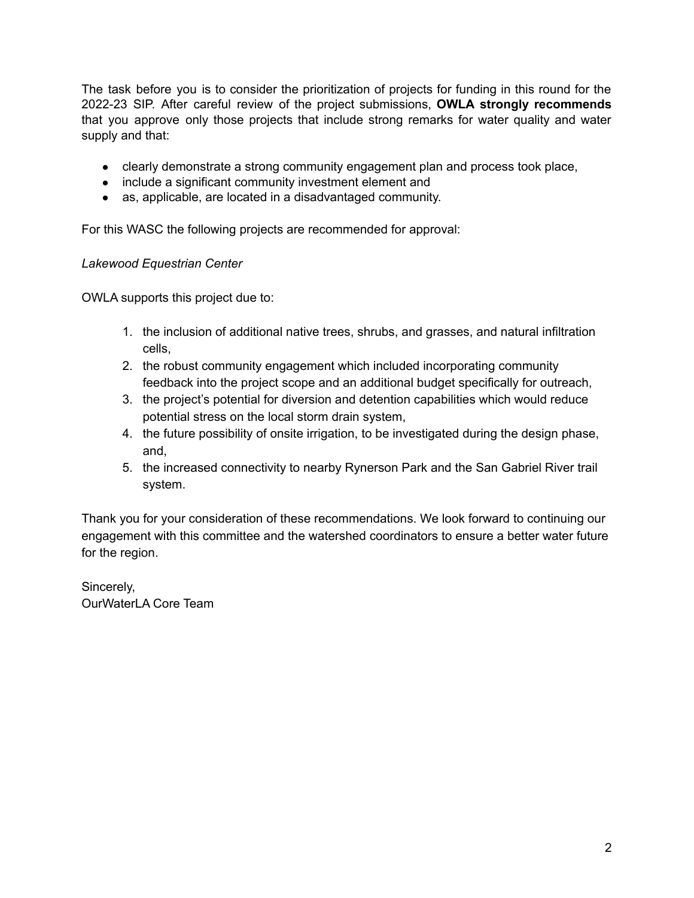The task before you is to consider the prioritization of projects for funding in this round for the 2022-23 SIP. After careful review of the project submissions, **OWLA strongly recommends** that you approve only those projects that include strong remarks for water quality and water supply and that:

- clearly demonstrate a strong community engagement plan and process took place,
- include a significant community investment element and
- as, applicable, are located in a disadvantaged community.

For this WASC the following projects are recommended for approval:

#### *Lakewood Equestrian Center*

OWLA supports this project due to:

- 1. the inclusion of additional native trees, shrubs, and grasses, and natural infiltration cells,
- 2. the robust community engagement which included incorporating community feedback into the project scope and an additional budget specifically for outreach,
- 3. the project's potential for diversion and detention capabilities which would reduce potential stress on the local storm drain system,
- 4. the future possibility of onsite irrigation, to be investigated during the design phase, and,
- 5. the increased connectivity to nearby Rynerson Park and the San Gabriel River trail system.

Thank you for your consideration of these recommendations. We look forward to continuing our engagement with this committee and the watershed coordinators to ensure a better water future for the region.

Sincerely, OurWaterLA Core Team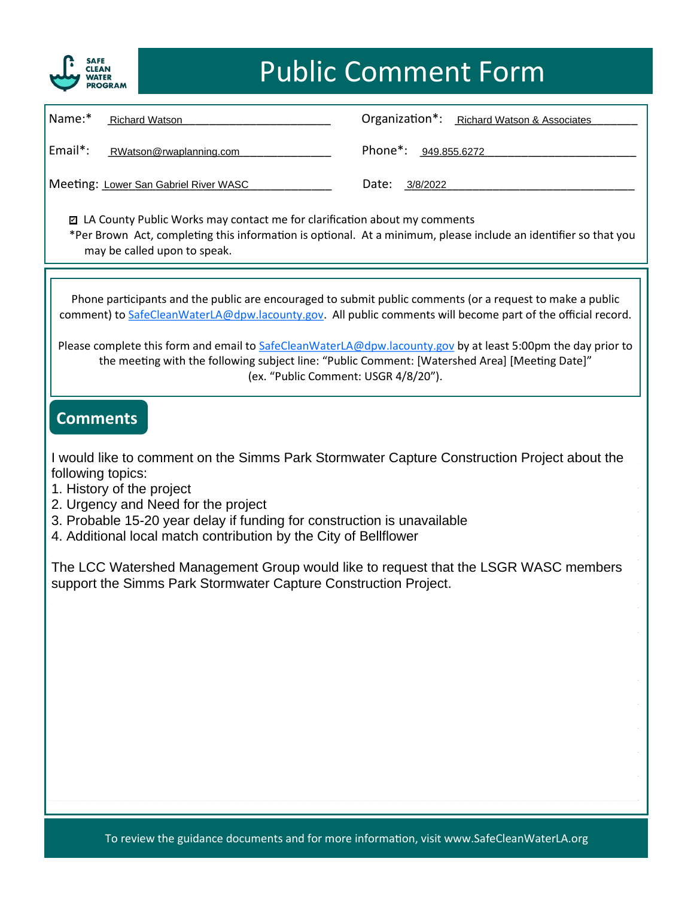

| Name:*<br><b>Richard Watson</b>                                                                                                                                                                                                                                                                                                    | Organization*:<br><b>Richard Watson &amp; Associates</b> |  |  |
|------------------------------------------------------------------------------------------------------------------------------------------------------------------------------------------------------------------------------------------------------------------------------------------------------------------------------------|----------------------------------------------------------|--|--|
| Email*:<br>RWatson@rwaplanning.com                                                                                                                                                                                                                                                                                                 | Phone <sup>*</sup> :<br>949.855.6272                     |  |  |
| Meeting: Lower San Gabriel River WASC                                                                                                                                                                                                                                                                                              | Date:<br>3/8/2022                                        |  |  |
| ◘ LA County Public Works may contact me for clarification about my comments<br>*Per Brown Act, completing this information is optional. At a minimum, please include an identifier so that you<br>may be called upon to speak.                                                                                                     |                                                          |  |  |
|                                                                                                                                                                                                                                                                                                                                    |                                                          |  |  |
| Phone participants and the public are encouraged to submit public comments (or a request to make a public<br>comment) to SafeCleanWaterLA@dpw.lacounty.gov. All public comments will become part of the official record.                                                                                                           |                                                          |  |  |
| Please complete this form and email to SafeCleanWaterLA@dpw.lacounty.gov by at least 5:00pm the day prior to<br>the meeting with the following subject line: "Public Comment: [Watershed Area] [Meeting Date]"<br>(ex. "Public Comment: USGR 4/8/20").                                                                             |                                                          |  |  |
| <b>Comments</b>                                                                                                                                                                                                                                                                                                                    |                                                          |  |  |
| I would like to comment on the Simms Park Stormwater Capture Construction Project about the<br>following topics:<br>1. History of the project<br>2. Urgency and Need for the project<br>3. Probable 15-20 year delay if funding for construction is unavailable<br>A Additional local match contribution by the City of Politiquer |                                                          |  |  |

4. Additional local match contribution by the City of Bellflower<br>
<sub>1</sub>

The LCC Watershed Management Group would like to request that the LSGR WASC members<br>support the Simms Park Stormwater Capture Construction Project support the Simms Park Stormwater Capture Construction Project.<br>
Support the Simms Park Stormwater Capture Construction Project.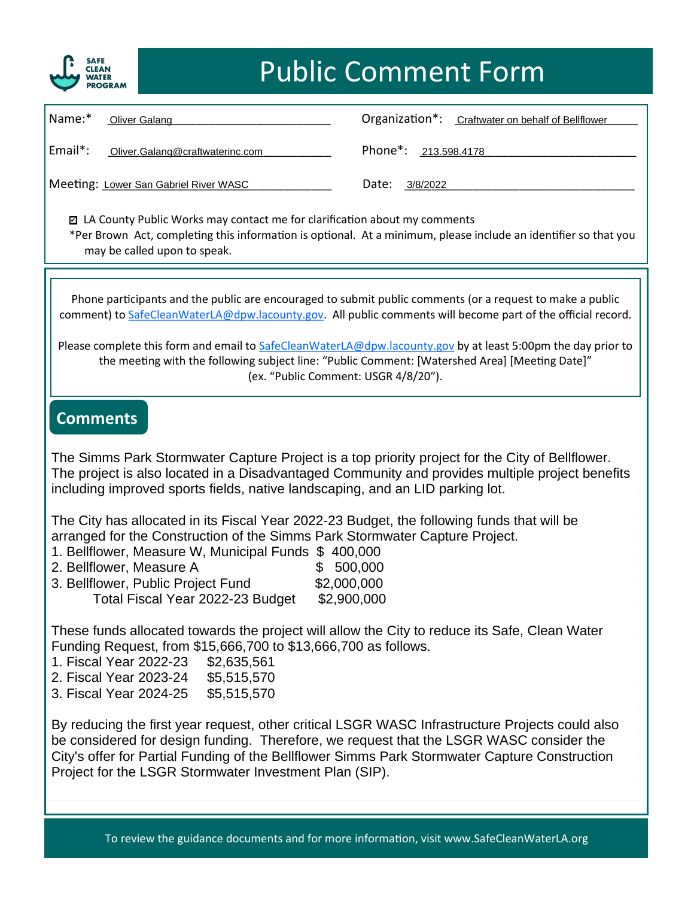

| $\vert$ Name: $*$ | Oliver Galang                                                                                                                                                                                                                 | Organization*:<br>Craftwater on behalf of Bellflower |
|-------------------|-------------------------------------------------------------------------------------------------------------------------------------------------------------------------------------------------------------------------------|------------------------------------------------------|
| Email*:           | Oliver.Galang@craftwaterinc.com                                                                                                                                                                                               | Phone*: 213.598.4178                                 |
|                   | Meeting: Lower San Gabriel River WASC                                                                                                                                                                                         | Date:<br>3/8/2022                                    |
|                   | . The contract of the contract of the contract of the contract of the contract of the contract of the contract of the contract of the contract of the contract of the contract of the contract of the contract of the contrac |                                                      |

■ LA County Public Works may contact me for clarification about my comments \*Per Brown Act, completing this information is optional. At a minimum, please include an identifier so that you may be called upon to speak.

Phone participants and the public are encouraged to submit public comments (or a request to make a public comment) to [SafeCleanWaterLA@dpw.lacounty.gov.](mailto:SafeCleanWaterLA@dpw.lacounty.gov) All public comments will become part of the official record.

Please complete this form and email to [SafeCleanWaterLA@dpw.lacounty.gov](mailto:SafeCleanWaterLA@dpw.lacounty.gov) by at least 5:00pm the day prior to the meeting with the following subject line: "Public Comment: [Watershed Area] [Meeting Date]" (ex. "Public Comment: USGR 4/8/20").

#### **Comments**

The Simms Park Stormwater Capture Project is a top priority project for the City of Bellflower. The project is also located in a Disadvantaged Community and provides multiple project benefits<br>including improved enerts fields, notive londescaping, and an LID perking let including improved sports fields, native landscaping, and an LID parking lot.

The City has allocated in its Fiscal Year 2022-23 Budget, the following funds that will be<br>arranged for the Construction of the Simms Bark Stermuster Capture Broject arranged for the Construction of the Simms Park Stormwater Capture Project.

- analiged for the construction of the climns Faik Stoffwater Capture Project.<br>1. Bellflower, Measure W, Municipal Funds \$ 400,000
- 2. Bellflower, Measure A \$ 500,000<br>3. Bellflower, Public Project Fund \$2,000,000  $\frac{22,000,000}{\sqrt{210}}$  Total Fiscal Year 2022-23 Budget  $\frac{22,000,000}{\sqrt{21000}}$ 2. Bellflower, Measure A  $$500,000$

These funds allocated towards the project will allow the City to reduce its Safe, Clean Water These range allocated tenance the project rim allow the enty to reddee he calle, creativitate.<br>Funding Request, from \$15,666,700 to \$13,666,700 as follows.

- 1. Fiscal Year 2022-23 \$2,635,561
- \_\_\_\_\_\_\_\_\_\_\_\_\_\_\_\_\_\_\_\_\_\_\_\_\_\_\_\_\_\_\_\_\_\_\_\_\_\_\_\_\_\_\_\_\_\_\_\_\_\_\_\_ 2. Fiscal Year 2023-24 \$5,515,570
- \_\_\_\_\_\_\_\_\_\_\_\_\_\_\_\_\_\_\_\_\_\_\_\_\_\_\_\_\_\_\_\_\_\_\_\_\_\_\_\_\_\_\_\_\_\_\_\_\_\_\_\_ 3. Fiscal Year 2024-25 \$5,515,570

By reducing the first year request, other critical LSGR WASC Infrastructure Projects could also be considered for design funding. Therefore, we request that the LSGR WASC consider the City's offer for Partial Funding of the Bellflower Simms Park Stormwater Capture Construction<br>Project for the LSGR Stormwater Investment Plan (SIP).  $\mathcal{L}$  , and the contract of the contract of the contract of the contract of the contract of the contract of the contract of the contract of the contract of the contract of the contract of the contract of the contract o Project for the LSGR Stormwater Investment Plan (SIP).